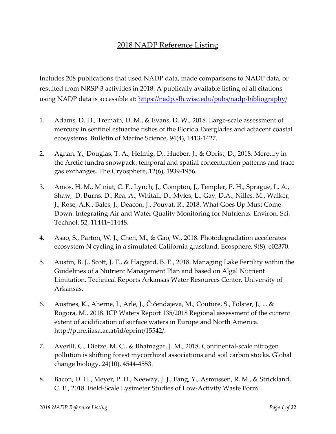## 2018 NADP Reference Listing

Includes 208 publications that used NADP data, made comparisons to NADP data, or resulted from NRSP‐3 activities in 2018. A publically available listing of all citations using NADP data is accessible at: <https://nadp.slh.wisc.edu/pubs/nadp-bibliography/>

- 1. Adams, D. H., Tremain, D. M., & Evans, D. W., 2018. Large-scale assessment of mercury in sentinel estuarine fishes of the Florida Everglades and adjacent coastal ecosystems. Bulletin of Marine Science, 94(4), 1413‐1427.
- 2. Agnan, Y., Douglas, T. A., Helmig, D., Hueber, J., & Obrist, D., 2018. Mercury in the Arctic tundra snowpack: temporal and spatial concentration patterns and trace gas exchanges. The Cryosphere, 12(6), 1939‐1956.
- 3. Amos, H. M., Miniat, C. F., Lynch, J., Compton, J., Templer, P. H., Sprague, L. A., Shaw, D. Burns, D., Rea, A., Whitall, D., Myles, L., Gay, D.A., Nilles, M., Walker, J., Rose, A.K., Bales, J., Deacon, J., Pouyat, R., 2018. What Goes Up Must Come Down: Integrating Air and Water Quality Monitoring for Nutrients. Environ. Sci. Technol. 52, 11441−11448.
- 4. Asao, S., Parton, W. J., Chen, M., & Gao, W., 2018. Photodegradation accelerates ecosystem N cycling in a simulated California grassland. Ecosphere, 9(8), e02370.
- 5. Austin, B. J., Scott, J. T., & Haggard, B. E., 2018. Managing Lake Fertility within the Guidelines of a Nutrient Management Plan and based on Algal Nutrient Limitation. Technical Reports Arkansas Water Resources Center, University of Arkansas.
- 6. Austnes, K., Aherne, J., Arle, J., Čičendajeva, M., Couture, S., Fölster, J., ... & Rogora, M., 2018. ICP Waters Report 135/2018 Regional assessment of the current extent of acidification of surface waters in Europe and North America. http://pure.iiasa.ac.at/id/eprint/15542/.
- 7. Averill, C., Dietze, M. C., & Bhatnagar, J. M., 2018. Continental‐scale nitrogen pollution is shifting forest mycorrhizal associations and soil carbon stocks. Global change biology, 24(10), 4544‐4553.
- 8. Bacon, D. H., Meyer, P. D., Neeway, J. J., Fang, Y., Asmussen, R. M., & Strickland, C. E., 2018. Field‐Scale Lysimeter Studies of Low‐Activity Waste Form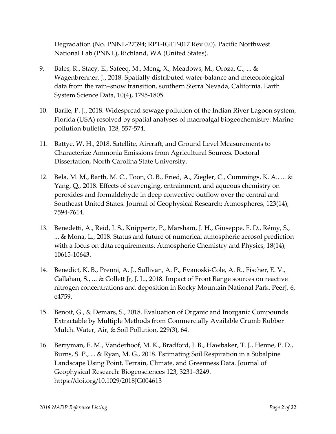Degradation (No. PNNL‐27394; RPT‐IGTP‐017 Rev 0.0). Pacific Northwest National Lab.(PNNL), Richland, WA (United States).

- 9. Bales, R., Stacy, E., Safeeq, M., Meng, X., Meadows, M., Oroza, C., ... & Wagenbrenner, J., 2018. Spatially distributed water‐balance and meteorological data from the rain–snow transition, southern Sierra Nevada, California. Earth System Science Data, 10(4), 1795‐1805.
- 10. Barile, P. J., 2018. Widespread sewage pollution of the Indian River Lagoon system, Florida (USA) resolved by spatial analyses of macroalgal biogeochemistry. Marine pollution bulletin, 128, 557‐574.
- 11. Battye, W. H., 2018. Satellite, Aircraft, and Ground Level Measurements to Characterize Ammonia Emissions from Agricultural Sources. Doctoral Dissertation, North Carolina State University.
- 12. Bela, M. M., Barth, M. C., Toon, O. B., Fried, A., Ziegler, C., Cummings, K. A., ... & Yang, Q., 2018. Effects of scavenging, entrainment, and aqueous chemistry on peroxides and formaldehyde in deep convective outflow over the central and Southeast United States. Journal of Geophysical Research: Atmospheres, 123(14), 7594‐7614.
- 13. Benedetti, A., Reid, J. S., Knippertz, P., Marsham, J. H., Giuseppe, F. D., Rémy, S., ... & Mona, L., 2018. Status and future of numerical atmospheric aerosol prediction with a focus on data requirements. Atmospheric Chemistry and Physics, 18(14), 10615‐10643.
- 14. Benedict, K. B., Prenni, A. J., Sullivan, A. P., Evanoski‐Cole, A. R., Fischer, E. V., Callahan, S., ... & Collett Jr, J. L., 2018. Impact of Front Range sources on reactive nitrogen concentrations and deposition in Rocky Mountain National Park. PeerJ, 6, e4759.
- 15. Benoit, G., & Demars, S., 2018. Evaluation of Organic and Inorganic Compounds Extractable by Multiple Methods from Commercially Available Crumb Rubber Mulch. Water, Air, & Soil Pollution, 229(3), 64.
- 16. Berryman, E. M., Vanderhoof, M. K., Bradford, J. B., Hawbaker, T. J., Henne, P. D., Burns, S. P., ... & Ryan, M. G., 2018. Estimating Soil Respiration in a Subalpine Landscape Using Point, Terrain, Climate, and Greenness Data. Journal of Geophysical Research: Biogeosciences 123, 3231–3249. https://doi.org/10.1029/2018JG004613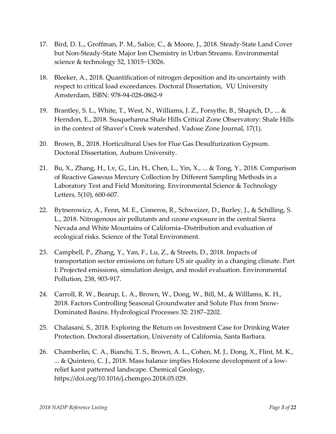- 17. Bird, D. L., Groffman, P. M., Salice, C., & Moore, J., 2018. Steady‐State Land Cover but Non‐Steady‐State Major Ion Chemistry in Urban Streams. Environmental science & technology 52, 13015−13026.
- 18. Bleeker, A., 2018. Quantification of nitrogen deposition and its uncertainty with respect to critical load exceedances. Doctoral Dissertation, VU University Amsterdam, ISBN: 978‐94‐028‐0862‐9
- 19. Brantley, S. L., White, T., West, N., Williams, J. Z., Forsythe, B., Shapich, D., ... & Herndon, E., 2018. Susquehanna Shale Hills Critical Zone Observatory: Shale Hills in the context of Shaver's Creek watershed. Vadose Zone Journal, 17(1).
- 20. Brown, B., 2018. Horticultural Uses for Flue Gas Desulfurization Gypsum. Doctoral Dissertation, Auburn University.
- 21. Bu, X., Zhang, H., Lv, G., Lin, H., Chen, L., Yin, X., ... & Tong, Y., 2018. Comparison of Reactive Gaseous Mercury Collection by Different Sampling Methods in a Laboratory Test and Field Monitoring. Environmental Science & Technology Letters, 5(10), 600‐607.
- 22. Bytnerowicz, A., Fenn, M. E., Cisneros, R., Schweizer, D., Burley, J., & Schilling, S. L., 2018. Nitrogenous air pollutants and ozone exposure in the central Sierra Nevada and White Mountains of California–Distribution and evaluation of ecological risks. Science of the Total Environment.
- 23. Campbell, P., Zhang, Y., Yan, F., Lu, Z., & Streets, D., 2018. Impacts of transportation sector emissions on future US air quality in a changing climate. Part I: Projected emissions, simulation design, and model evaluation. Environmental Pollution, 238, 903‐917.
- 24. Carroll, R. W., Bearup, L. A., Brown, W., Dong, W., Bill, M., & Willlams, K. H., 2018. Factors Controlling Seasonal Groundwater and Solute Flux from Snow‐ Dominated Basins. Hydrological Processes 32: 2187–2202.
- 25. Chalasani, S., 2018. Exploring the Return on Investment Case for Drinking Water Protection. Doctoral dissertation, University of California, Santa Barbara.
- 26. Chamberlin, C. A., Bianchi, T. S., Brown, A. L., Cohen, M. J., Dong, X., Flint, M. K., ... & Quintero, C. J., 2018. Mass balance implies Holocene development of a low‐ relief karst patterned landscape. Chemical Geology, https://doi.org/10.1016/j.chemgeo.2018.05.029.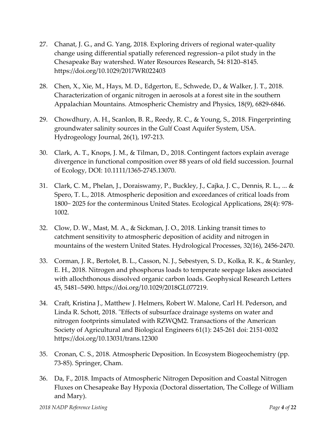- 27. Chanat, J. G., and G. Yang, 2018. Exploring drivers of regional water‐quality change using differential spatially referenced regression–a pilot study in the Chesapeake Bay watershed. Water Resources Research, 54: 8120–8145. https://doi.org/10.1029/2017WR022403
- 28. Chen, X., Xie, M., Hays, M. D., Edgerton, E., Schwede, D., & Walker, J. T., 2018. Characterization of organic nitrogen in aerosols at a forest site in the southern Appalachian Mountains. Atmospheric Chemistry and Physics, 18(9), 6829‐6846.
- 29. Chowdhury, A. H., Scanlon, B. R., Reedy, R. C., & Young, S., 2018. Fingerprinting groundwater salinity sources in the Gulf Coast Aquifer System, USA. Hydrogeology Journal, 26(1), 197‐213.
- 30. Clark, A. T., Knops, J. M., & Tilman, D., 2018. Contingent factors explain average divergence in functional composition over 88 years of old field succession. Journal of Ecology, DOI: 10.1111/1365‐2745.13070.
- 31. Clark, C. M., Phelan, J., Doraiswamy, P., Buckley, J., Cajka, J. C., Dennis, R. L., ... & Spero, T. L., 2018. Atmospheric deposition and exceedances of critical loads from 1800− 2025 for the conterminous United States. Ecological Applications, 28(4): 978‐ 1002.
- 32. Clow, D. W., Mast, M. A., & Sickman, J. O., 2018. Linking transit times to catchment sensitivity to atmospheric deposition of acidity and nitrogen in mountains of the western United States. Hydrological Processes, 32(16), 2456‐2470.
- 33. Corman, J. R., Bertolet, B. L., Casson, N. J., Sebestyen, S. D., Kolka, R. K., & Stanley, E. H., 2018. Nitrogen and phosphorus loads to temperate seepage lakes associated with allochthonous dissolved organic carbon loads. Geophysical Research Letters 45, 5481–5490. https://doi.org/10.1029/2018GL077219.
- 34. Craft, Kristina J., Matthew J. Helmers, Robert W. Malone, Carl H. Pederson, and Linda R. Schott, 2018. "Effects of subsurface drainage systems on water and nitrogen footprints simulated with RZWQM2. Transactions of the American Society of Agricultural and Biological Engineers 61(1): 245‐261 doi: 2151‐0032 https://doi.org/10.13031/trans.12300
- 35. Cronan, C. S., 2018. Atmospheric Deposition. In Ecosystem Biogeochemistry (pp. 73‐85). Springer, Cham.
- 36. Da, F., 2018. Impacts of Atmospheric Nitrogen Deposition and Coastal Nitrogen Fluxes on Chesapeake Bay Hypoxia (Doctoral dissertation, The College of William and Mary).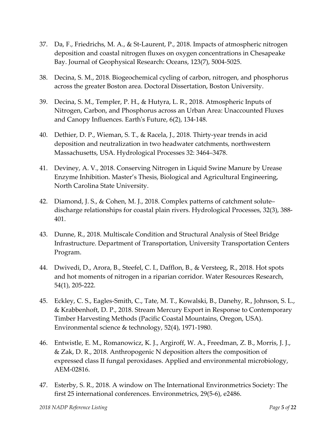- 37. Da, F., Friedrichs, M. A., & St‐Laurent, P., 2018. Impacts of atmospheric nitrogen deposition and coastal nitrogen fluxes on oxygen concentrations in Chesapeake Bay. Journal of Geophysical Research: Oceans, 123(7), 5004‐5025.
- 38. Decina, S. M., 2018. Biogeochemical cycling of carbon, nitrogen, and phosphorus across the greater Boston area. Doctoral Dissertation, Boston University.
- 39. Decina, S. M., Templer, P. H., & Hutyra, L. R., 2018. Atmospheric Inputs of Nitrogen, Carbon, and Phosphorus across an Urban Area: Unaccounted Fluxes and Canopy Influences. Earthʹs Future, 6(2), 134‐148.
- 40. Dethier, D. P., Wieman, S. T., & Racela, J., 2018. Thirty‐year trends in acid deposition and neutralization in two headwater catchments, northwestern Massachusetts, USA. Hydrological Processes 32: 3464–3478.
- 41. Deviney, A. V., 2018. Conserving Nitrogen in Liquid Swine Manure by Urease Enzyme Inhibition. Master's Thesis, Biological and Agricultural Engineering, North Carolina State University.
- 42. Diamond, J. S., & Cohen, M. J., 2018. Complex patterns of catchment solute– discharge relationships for coastal plain rivers. Hydrological Processes, 32(3), 388‐ 401.
- 43. Dunne, R., 2018. Multiscale Condition and Structural Analysis of Steel Bridge Infrastructure. Department of Transportation, University Transportation Centers Program.
- 44. Dwivedi, D., Arora, B., Steefel, C. I., Dafflon, B., & Versteeg, R., 2018. Hot spots and hot moments of nitrogen in a riparian corridor. Water Resources Research, 54(1), 205‐222.
- 45. Eckley, C. S., Eagles‐Smith, C., Tate, M. T., Kowalski, B., Danehy, R., Johnson, S. L., & Krabbenhoft, D. P., 2018. Stream Mercury Export in Response to Contemporary Timber Harvesting Methods (Pacific Coastal Mountains, Oregon, USA). Environmental science & technology, 52(4), 1971‐1980.
- 46. Entwistle, E. M., Romanowicz, K. J., Argiroff, W. A., Freedman, Z. B., Morris, J. J., & Zak, D. R., 2018. Anthropogenic N deposition alters the composition of expressed class II fungal peroxidases. Applied and environmental microbiology, AEM‐02816.
- 47. Esterby, S. R., 2018. A window on The International Environmetrics Society: The first 25 international conferences. Environmetrics, 29(5‐6), e2486.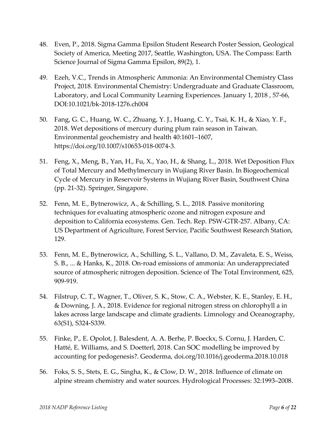- 48. Even, P., 2018. Sigma Gamma Epsilon Student Research Poster Session, Geological Society of America, Meeting 2017, Seattle, Washington, USA. The Compass: Earth Science Journal of Sigma Gamma Epsilon, 89(2), 1.
- 49. Ezeh, V.C., Trends in Atmospheric Ammonia: An Environmental Chemistry Class Project, 2018. Environmental Chemistry: Undergraduate and Graduate Classroom, Laboratory, and Local Community Learning Experiences. January 1, 2018 , 57‐66, DOI:10.1021/bk‐2018‐1276.ch004
- 50. Fang, G. C., Huang, W. C., Zhuang, Y. J., Huang, C. Y., Tsai, K. H., & Xiao, Y. F., 2018. Wet depositions of mercury during plum rain season in Taiwan. Environmental geochemistry and health 40:1601–1607, https://doi.org/10.1007/s10653‐018‐0074‐3.
- 51. Feng, X., Meng, B., Yan, H., Fu, X., Yao, H., & Shang, L., 2018. Wet Deposition Flux of Total Mercury and Methylmercury in Wujiang River Basin. In Biogeochemical Cycle of Mercury in Reservoir Systems in Wujiang River Basin, Southwest China (pp. 21‐32). Springer, Singapore.
- 52. Fenn, M. E., Bytnerowicz, A., & Schilling, S. L., 2018. Passive monitoring techniques for evaluating atmospheric ozone and nitrogen exposure and deposition to California ecosystems. Gen. Tech. Rep. PSW‐GTR‐257. Albany, CA: US Department of Agriculture, Forest Service, Pacific Southwest Research Station, 129.
- 53. Fenn, M. E., Bytnerowicz, A., Schilling, S. L., Vallano, D. M., Zavaleta, E. S., Weiss, S. B., ... & Hanks, K., 2018. On‐road emissions of ammonia: An underappreciated source of atmospheric nitrogen deposition. Science of The Total Environment, 625, 909‐919.
- 54. Filstrup, C. T., Wagner, T., Oliver, S. K., Stow, C. A., Webster, K. E., Stanley, E. H., & Downing, J. A., 2018. Evidence for regional nitrogen stress on chlorophyll a in lakes across large landscape and climate gradients. Limnology and Oceanography, 63(S1), S324‐S339.
- 55. Finke, P., E. Opolot, J. Balesdent, A. A. Berhe, P. Boeckx, S. Cornu, J. Harden, C. Hatté, E. Williams, and S. Doetterl, 2018. Can SOC modelling be improved by accounting for pedogenesis?. Geoderma, doi.org/10.1016/j.geoderma.2018.10.018
- 56. Foks, S. S., Stets, E. G., Singha, K., & Clow, D. W., 2018. Influence of climate on alpine stream chemistry and water sources. Hydrological Processes: 32:1993–2008.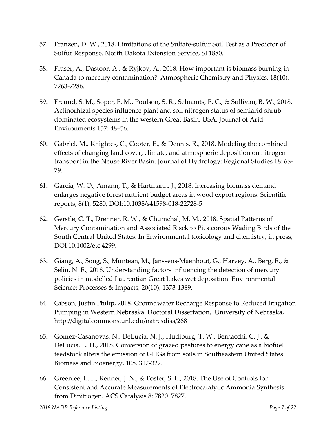- 57. Franzen, D. W., 2018. Limitations of the Sulfate-sulfur Soil Test as a Predictor of Sulfur Response. North Dakota Extension Service, SF1880.
- 58. Fraser, A., Dastoor, A., & Ryjkov, A., 2018. How important is biomass burning in Canada to mercury contamination?. Atmospheric Chemistry and Physics, 18(10), 7263‐7286.
- 59. Freund, S. M., Soper, F. M., Poulson, S. R., Selmants, P. C., & Sullivan, B. W., 2018. Actinorhizal species influence plant and soil nitrogen status of semiarid shrub‐ dominated ecosystems in the western Great Basin, USA. Journal of Arid Environments 157: 48–56.
- 60. Gabriel, M., Knightes, C., Cooter, E., & Dennis, R., 2018. Modeling the combined effects of changing land cover, climate, and atmospheric deposition on nitrogen transport in the Neuse River Basin. Journal of Hydrology: Regional Studies 18: 68‐ 79.
- 61. Garcia, W. O., Amann, T., & Hartmann, J., 2018. Increasing biomass demand enlarges negative forest nutrient budget areas in wood export regions. Scientific reports, 8(1), 5280, DOI:10.1038/s41598‐018‐22728‐5
- 62. Gerstle, C. T., Drenner, R. W., & Chumchal, M. M., 2018. Spatial Patterns of Mercury Contamination and Associated Risck to Picsicorous Wading Birds of the South Central United States. In Environmental toxicology and chemistry, in press, DOI 10.1002/etc.4299.
- 63. Giang, A., Song, S., Muntean, M., Janssens‐Maenhout, G., Harvey, A., Berg, E., & Selin, N. E., 2018. Understanding factors influencing the detection of mercury policies in modelled Laurentian Great Lakes wet deposition. Environmental Science: Processes & Impacts, 20(10), 1373‐1389.
- 64. Gibson, Justin Philip, 2018. Groundwater Recharge Response to Reduced Irrigation Pumping in Western Nebraska. Doctoral Dissertation, University of Nebraska, http://digitalcommons.unl.edu/natresdiss/268
- 65. Gomez‐Casanovas, N., DeLucia, N. J., Hudiburg, T. W., Bernacchi, C. J., & DeLucia, E. H., 2018. Conversion of grazed pastures to energy cane as a biofuel feedstock alters the emission of GHGs from soils in Southeastern United States. Biomass and Bioenergy, 108, 312‐322.
- 66. Greenlee, L. F., Renner, J. N., & Foster, S. L., 2018. The Use of Controls for Consistent and Accurate Measurements of Electrocatalytic Ammonia Synthesis from Dinitrogen. ACS Catalysis 8: 7820−7827.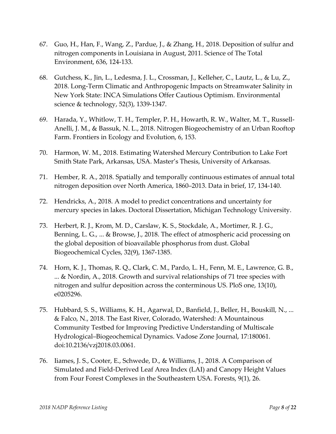- 67. Guo, H., Han, F., Wang, Z., Pardue, J., & Zhang, H., 2018. Deposition of sulfur and nitrogen components in Louisiana in August, 2011. Science of The Total Environment, 636, 124‐133.
- 68. Gutchess, K., Jin, L., Ledesma, J. L., Crossman, J., Kelleher, C., Lautz, L., & Lu, Z., 2018. Long‐Term Climatic and Anthropogenic Impacts on Streamwater Salinity in New York State: INCA Simulations Offer Cautious Optimism. Environmental science & technology, 52(3), 1339‐1347.
- 69. Harada, Y., Whitlow, T. H., Templer, P. H., Howarth, R. W., Walter, M. T., Russell‐ Anelli, J. M., & Bassuk, N. L., 2018. Nitrogen Biogeochemistry of an Urban Rooftop Farm. Frontiers in Ecology and Evolution, 6, 153.
- 70. Harmon, W. M., 2018. Estimating Watershed Mercury Contribution to Lake Fort Smith State Park, Arkansas, USA. Master's Thesis, University of Arkansas.
- 71. Hember, R. A., 2018. Spatially and temporally continuous estimates of annual total nitrogen deposition over North America, 1860–2013. Data in brief, 17, 134‐140.
- 72. Hendricks, A., 2018. A model to predict concentrations and uncertainty for mercury species in lakes. Doctoral Dissertation, Michigan Technology University.
- 73. Herbert, R. J., Krom, M. D., Carslaw, K. S., Stockdale, A., Mortimer, R. J. G., Benning, L. G., ... & Browse, J., 2018. The effect of atmospheric acid processing on the global deposition of bioavailable phosphorus from dust. Global Biogeochemical Cycles, 32(9), 1367‐1385.
- 74. Horn, K. J., Thomas, R. Q., Clark, C. M., Pardo, L. H., Fenn, M. E., Lawrence, G. B., ... & Nordin, A., 2018. Growth and survival relationships of 71 tree species with nitrogen and sulfur deposition across the conterminous US. PloS one, 13(10), e0205296.
- 75. Hubbard, S. S., Williams, K. H., Agarwal, D., Banfield, J., Beller, H., Bouskill, N., ... & Falco, N., 2018. The East River, Colorado, Watershed: A Mountainous Community Testbed for Improving Predictive Understanding of Multiscale Hydrological–Biogeochemical Dynamics. Vadose Zone Journal, 17:180061. doi:10.2136/vzj2018.03.0061.
- 76. Iiames, J. S., Cooter, E., Schwede, D., & Williams, J., 2018. A Comparison of Simulated and Field‐Derived Leaf Area Index (LAI) and Canopy Height Values from Four Forest Complexes in the Southeastern USA. Forests, 9(1), 26.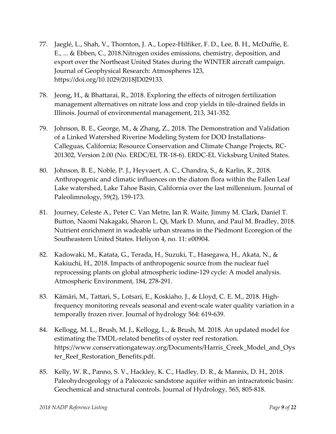- 77. Jaeglé, L., Shah, V., Thornton, J. A., Lopez‐Hilfiker, F. D., Lee, B. H., McDuffie, E. E., ... & Ebben, C., 2018.Nitrogen oxides emissions, chemistry, deposition, and export over the Northeast United States during the WINTER aircraft campaign. Journal of Geophysical Research: Atmospheres 123, https://doi.org/10.1029/2018JD029133.
- 78. Jeong, H., & Bhattarai, R., 2018. Exploring the effects of nitrogen fertilization management alternatives on nitrate loss and crop yields in tile‐drained fields in Illinois. Journal of environmental management, 213, 341‐352.
- 79. Johnson, B. E., George, M., & Zhang, Z., 2018. The Demonstration and Validation of a Linked Watershed Riverine Modeling System for DOD Installations‐ Calleguas, California; Resource Conservation and Climate Change Projects, RC‐ 201302, Version 2.00 (No. ERDC/EL TR‐18‐6). ERDC‐EL Vicksburg United States.
- 80. Johnson, B. E., Noble, P. J., Heyvaert, A. C., Chandra, S., & Karlin, R., 2018. Anthropogenic and climatic influences on the diatom flora within the Fallen Leaf Lake watershed, Lake Tahoe Basin, California over the last millennium. Journal of Paleolimnology, 59(2), 159‐173.
- 81. Journey, Celeste A., Peter C. Van Metre, Ian R. Waite, Jimmy M. Clark, Daniel T. Button, Naomi Nakagaki, Sharon L. Qi, Mark D. Munn, and Paul M. Bradley, 2018. Nutrient enrichment in wadeable urban streams in the Piedmont Ecoregion of the Southeastern United States. Heliyon 4, no. 11: e00904.
- 82. Kadowaki, M., Katata, G., Terada, H., Suzuki, T., Hasegawa, H., Akata, N., & Kakiuchi, H., 2018. Impacts of anthropogenic source from the nuclear fuel reprocessing plants on global atmospheric iodine‐129 cycle: A model analysis. Atmospheric Environment, 184, 278‐291.
- 83. Kämäri, M., Tattari, S., Lotsari, E., Koskiaho, J., & Lloyd, C. E. M., 2018. High‐ frequency monitoring reveals seasonal and event‐scale water quality variation in a temporally frozen river. Journal of hydrology 564: 619‐639.
- 84. Kellogg, M. L., Brush, M. J., Kellogg, L., & Brush, M. 2018. An updated model for estimating the TMDL‐related benefits of oyster reef restoration. https://www.conservationgateway.org/Documents/Harris\_Creek\_Model\_and\_Oys ter\_Reef\_Restoration\_Benefits.pdf.
- 85. Kelly, W. R., Panno, S. V., Hackley, K. C., Hadley, D. R., & Mannix, D. H., 2018. Paleohydrogeology of a Paleozoic sandstone aquifer within an intracratonic basin: Geochemical and structural controls. Journal of Hydrology, 565, 805‐818.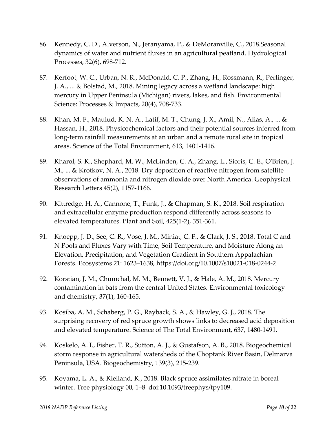- 86. Kennedy, C. D., Alverson, N., Jeranyama, P., & DeMoranville, C., 2018.Seasonal dynamics of water and nutrient fluxes in an agricultural peatland. Hydrological Processes, 32(6), 698‐712.
- 87. Kerfoot, W. C., Urban, N. R., McDonald, C. P., Zhang, H., Rossmann, R., Perlinger, J. A., ... & Bolstad, M., 2018. Mining legacy across a wetland landscape: high mercury in Upper Peninsula (Michigan) rivers, lakes, and fish. Environmental Science: Processes & Impacts, 20(4), 708‐733.
- 88. Khan, M. F., Maulud, K. N. A., Latif, M. T., Chung, J. X., Amil, N., Alias, A., ... & Hassan, H., 2018. Physicochemical factors and their potential sources inferred from long‐term rainfall measurements at an urban and a remote rural site in tropical areas. Science of the Total Environment, 613, 1401‐1416.
- 89. Kharol, S. K., Shephard, M. W., McLinden, C. A., Zhang, L., Sioris, C. E., OʹBrien, J. M., ... & Krotkov, N. A., 2018. Dry deposition of reactive nitrogen from satellite observations of ammonia and nitrogen dioxide over North America. Geophysical Research Letters 45(2), 1157‐1166.
- 90. Kittredge, H. A., Cannone, T., Funk, J., & Chapman, S. K., 2018. Soil respiration and extracellular enzyme production respond differently across seasons to elevated temperatures. Plant and Soil, 425(1‐2), 351‐361.
- 91. Knoepp, J. D., See, C. R., Vose, J. M., Miniat, C. F., & Clark, J. S., 2018. Total C and N Pools and Fluxes Vary with Time, Soil Temperature, and Moisture Along an Elevation, Precipitation, and Vegetation Gradient in Southern Appalachian Forests. Ecosystems 21: 1623–1638, https://doi.org/10.1007/s10021‐018‐0244‐2
- 92. Korstian, J. M., Chumchal, M. M., Bennett, V. J., & Hale, A. M., 2018. Mercury contamination in bats from the central United States. Environmental toxicology and chemistry, 37(1), 160‐165.
- 93. Kosiba, A. M., Schaberg, P. G., Rayback, S. A., & Hawley, G. J., 2018. The surprising recovery of red spruce growth shows links to decreased acid deposition and elevated temperature. Science of The Total Environment, 637, 1480‐1491.
- 94. Koskelo, A. I., Fisher, T. R., Sutton, A. J., & Gustafson, A. B., 2018. Biogeochemical storm response in agricultural watersheds of the Choptank River Basin, Delmarva Peninsula, USA. Biogeochemistry, 139(3), 215‐239.
- 95. Koyama, L. A., & Kielland, K., 2018. Black spruce assimilates nitrate in boreal winter. Tree physiology 00, 1–8 doi:10.1093/treephys/tpy109.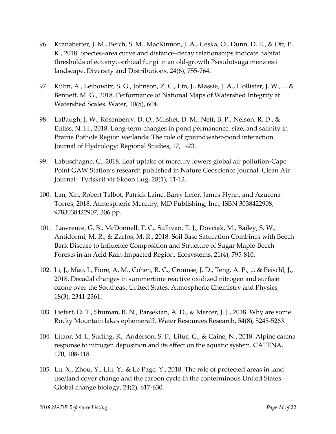- 96. Kranabetter, J. M., Berch, S. M., MacKinnon, J. A., Ceska, O., Dunn, D. E., & Ott, P. K., 2018. Species–area curve and distance–decay relationships indicate habitat thresholds of ectomycorrhizal fungi in an old‐growth Pseudotsuga menziesii landscape. Diversity and Distributions, 24(6), 755‐764.
- 97. Kuhn, A., Leibowitz, S. G., Johnson, Z. C., Lin, J., Massie, J. A., Hollister, J. W., ... & Bennett, M. G., 2018. Performance of National Maps of Watershed Integrity at Watershed Scales. Water, 10(5), 604.
- 98. LaBaugh, J. W., Rosenberry, D. O., Mushet, D. M., Neff, B. P., Nelson, R. D., & Euliss, N. H., 2018. Long‐term changes in pond permanence, size, and salinity in Prairie Pothole Region wetlands: The role of groundwater‐pond interaction. Journal of Hydrology: Regional Studies, 17, 1‐23.
- 99. Labuschagne, C., 2018. Leaf uptake of mercury lowers global air pollution‐Cape Point GAW Station's research published in Nature Geoscience Journal. Clean Air Journal= Tydskrif vir Skoon Lug, 28(1), 11‐12.
- 100. Lan, Xin, Robert Talbot, Patrick Laine, Barry Lefer, James Flynn, and Azucena Torres, 2018. Atmospheric Mercury, MD Publishing, Inc., ISBN 3038422908, 9783038422907, 306 pp.
- 101. Lawrence, G. B., McDonnell, T. C., Sullivan, T. J., Dovciak, M., Bailey, S. W., Antidormi, M. R., & Zarfos, M. R., 2018. Soil Base Saturation Combines with Beech Bark Disease to Influence Composition and Structure of Sugar Maple‐Beech Forests in an Acid Rain‐Impacted Region. Ecosystems, 21(4), 795‐810.
- 102. Li, J., Mao, J., Fiore, A. M., Cohen, R. C., Crounse, J. D., Teng, A. P., ... & Peischl, J., 2018. Decadal changes in summertime reactive oxidized nitrogen and surface ozone over the Southeast United States. Atmospheric Chemistry and Physics, 18(3), 2341‐2361.
- 103. Liefert, D. T., Shuman, B. N., Parsekian, A. D., & Mercer, J. J., 2018. Why are some Rocky Mountain lakes ephemeral?. Water Resources Research, 54(8), 5245‐5263.
- 104. Litaor, M. I., Suding, K., Anderson, S. P., Litus, G., & Caine, N., 2018. Alpine catena response to nitrogen deposition and its effect on the aquatic system. CATENA, 170, 108‐118.
- 105. Lu, X., Zhou, Y., Liu, Y., & Le Page, Y., 2018. The role of protected areas in land use/land cover change and the carbon cycle in the conterminous United States. Global change biology, 24(2), 617‐630.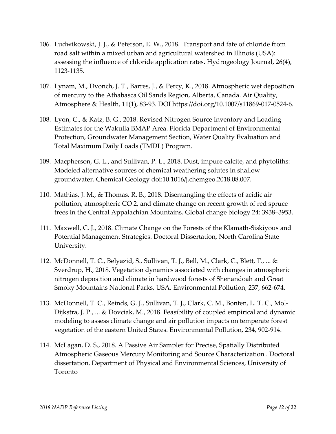- 106. Ludwikowski, J. J., & Peterson, E. W., 2018. Transport and fate of chloride from road salt within a mixed urban and agricultural watershed in Illinois (USA): assessing the influence of chloride application rates. Hydrogeology Journal, 26(4), 1123‐1135.
- 107. Lynam, M., Dvonch, J. T., Barres, J., & Percy, K., 2018. Atmospheric wet deposition of mercury to the Athabasca Oil Sands Region, Alberta, Canada. Air Quality, Atmosphere & Health, 11(1), 83‐93. DOI https://doi.org/10.1007/s11869‐017‐0524‐6.
- 108. Lyon, C., & Katz, B. G., 2018. Revised Nitrogen Source Inventory and Loading Estimates for the Wakulla BMAP Area. Florida Department of Environmental Protection, Groundwater Management Section, Water Quality Evaluation and Total Maximum Daily Loads (TMDL) Program.
- 109. Macpherson, G. L., and Sullivan, P. L., 2018. Dust, impure calcite, and phytoliths: Modeled alternative sources of chemical weathering solutes in shallow groundwater. Chemical Geology doi:10.1016/j.chemgeo.2018.08.007.
- 110. Mathias, J. M., & Thomas, R. B., 2018. Disentangling the effects of acidic air pollution, atmospheric CO 2, and climate change on recent growth of red spruce trees in the Central Appalachian Mountains. Global change biology 24: 3938–3953.
- 111. Maxwell, C. J., 2018. Climate Change on the Forests of the Klamath‐Siskiyous and Potential Management Strategies. Doctoral Dissertation, North Carolina State University.
- 112. McDonnell, T. C., Belyazid, S., Sullivan, T. J., Bell, M., Clark, C., Blett, T., ... & Sverdrup, H., 2018. Vegetation dynamics associated with changes in atmospheric nitrogen deposition and climate in hardwood forests of Shenandoah and Great Smoky Mountains National Parks, USA. Environmental Pollution, 237, 662‐674.
- 113. McDonnell, T. C., Reinds, G. J., Sullivan, T. J., Clark, C. M., Bonten, L. T. C., Mol‐ Dijkstra, J. P., ... & Dovciak, M., 2018. Feasibility of coupled empirical and dynamic modeling to assess climate change and air pollution impacts on temperate forest vegetation of the eastern United States. Environmental Pollution, 234, 902‐914.
- 114. McLagan, D. S., 2018. A Passive Air Sampler for Precise, Spatially Distributed Atmospheric Gaseous Mercury Monitoring and Source Characterization . Doctoral dissertation, Department of Physical and Environmental Sciences, University of Toronto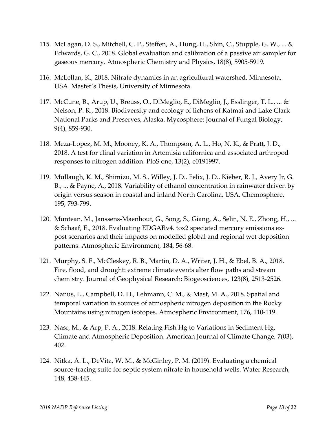- 115. McLagan, D. S., Mitchell, C. P., Steffen, A., Hung, H., Shin, C., Stupple, G. W., ... & Edwards, G. C., 2018. Global evaluation and calibration of a passive air sampler for gaseous mercury. Atmospheric Chemistry and Physics, 18(8), 5905‐5919.
- 116. McLellan, K., 2018. Nitrate dynamics in an agricultural watershed, Minnesota, USA. Master's Thesis, University of Minnesota.
- 117. McCune, B., Arup, U., Breuss, O., DiMeglio, E., DiMeglio, J., Esslinger, T. L., ... & Nelson, P. R., 2018. Biodiversity and ecology of lichens of Katmai and Lake Clark National Parks and Preserves, Alaska. Mycosphere: Journal of Fungal Biology, 9(4), 859‐930.
- 118. Meza‐Lopez, M. M., Mooney, K. A., Thompson, A. L., Ho, N. K., & Pratt, J. D., 2018. A test for clinal variation in Artemisia californica and associated arthropod responses to nitrogen addition. PloS one, 13(2), e0191997.
- 119. Mullaugh, K. M., Shimizu, M. S., Willey, J. D., Felix, J. D., Kieber, R. J., Avery Jr, G. B., ... & Payne, A., 2018. Variability of ethanol concentration in rainwater driven by origin versus season in coastal and inland North Carolina, USA. Chemosphere, 195, 793‐799.
- 120. Muntean, M., Janssens‐Maenhout, G., Song, S., Giang, A., Selin, N. E., Zhong, H., ... & Schaaf, E., 2018. Evaluating EDGARv4. tox2 speciated mercury emissions ex‐ post scenarios and their impacts on modelled global and regional wet deposition patterns. Atmospheric Environment, 184, 56‐68.
- 121. Murphy, S. F., McCleskey, R. B., Martin, D. A., Writer, J. H., & Ebel, B. A., 2018. Fire, flood, and drought: extreme climate events alter flow paths and stream chemistry. Journal of Geophysical Research: Biogeosciences, 123(8), 2513‐2526.
- 122. Nanus, L., Campbell, D. H., Lehmann, C. M., & Mast, M. A., 2018. Spatial and temporal variation in sources of atmospheric nitrogen deposition in the Rocky Mountains using nitrogen isotopes. Atmospheric Environment, 176, 110‐119.
- 123. Nasr, M., & Arp, P. A., 2018. Relating Fish Hg to Variations in Sediment Hg, Climate and Atmospheric Deposition. American Journal of Climate Change, 7(03), 402.
- 124. Nitka, A. L., DeVita, W. M., & McGinley, P. M. (2019). Evaluating a chemical source‐tracing suite for septic system nitrate in household wells. Water Research, 148, 438‐445.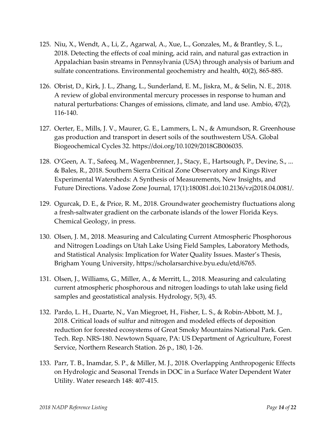- 125. Niu, X., Wendt, A., Li, Z., Agarwal, A., Xue, L., Gonzales, M., & Brantley, S. L., 2018. Detecting the effects of coal mining, acid rain, and natural gas extraction in Appalachian basin streams in Pennsylvania (USA) through analysis of barium and sulfate concentrations. Environmental geochemistry and health, 40(2), 865‐885.
- 126. Obrist, D., Kirk, J. L., Zhang, L., Sunderland, E. M., Jiskra, M., & Selin, N. E., 2018. A review of global environmental mercury processes in response to human and natural perturbations: Changes of emissions, climate, and land use. Ambio, 47(2), 116‐140.
- 127. Oerter, E., Mills, J. V., Maurer, G. E., Lammers, L. N., & Amundson, R. Greenhouse gas production and transport in desert soils of the southwestern USA. Global Biogeochemical Cycles 32. https://doi.org/10.1029/2018GB006035.
- 128. O'Geen, A. T., Safeeq, M., Wagenbrenner, J., Stacy, E., Hartsough, P., Devine, S., ... & Bales, R., 2018. Southern Sierra Critical Zone Observatory and Kings River Experimental Watersheds: A Synthesis of Measurements, New Insights, and Future Directions. Vadose Zone Journal, 17(1):180081.doi:10.2136/vzj2018.04.0081/.
- 129. Ogurcak, D. E., & Price, R. M., 2018. Groundwater geochemistry fluctuations along a fresh‐saltwater gradient on the carbonate islands of the lower Florida Keys. Chemical Geology, in press.
- 130. Olsen, J. M., 2018. Measuring and Calculating Current Atmospheric Phosphorous and Nitrogen Loadings on Utah Lake Using Field Samples, Laboratory Methods, and Statistical Analysis: Implication for Water Quality Issues. Master's Thesis, Brigham Young University, https://scholarsarchive.byu.edu/etd/6765.
- 131. Olsen, J., Williams, G., Miller, A., & Merritt, L., 2018. Measuring and calculating current atmospheric phosphorous and nitrogen loadings to utah lake using field samples and geostatistical analysis. Hydrology, 5(3), 45.
- 132. Pardo, L. H., Duarte, N., Van Miegroet, H., Fisher, L. S., & Robin‐Abbott, M. J., 2018. Critical loads of sulfur and nitrogen and modeled effects of deposition reduction for forested ecosystems of Great Smoky Mountains National Park. Gen. Tech. Rep. NRS‐180. Newtown Square, PA: US Department of Agriculture, Forest Service, Northern Research Station. 26 p., 180, 1‐26.
- 133. Parr, T. B., Inamdar, S. P., & Miller, M. J., 2018. Overlapping Anthropogenic Effects on Hydrologic and Seasonal Trends in DOC in a Surface Water Dependent Water Utility. Water research 148: 407‐415.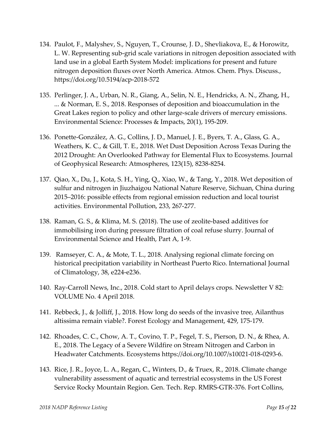- 134. Paulot, F., Malyshev, S., Nguyen, T., Crounse, J. D., Shevliakova, E., & Horowitz, L. W. Representing sub‐grid scale variations in nitrogen deposition associated with land use in a global Earth System Model: implications for present and future nitrogen deposition fluxes over North America. Atmos. Chem. Phys. Discuss., https://doi.org/10.5194/acp‐2018‐572
- 135. Perlinger, J. A., Urban, N. R., Giang, A., Selin, N. E., Hendricks, A. N., Zhang, H., ... & Norman, E. S., 2018. Responses of deposition and bioaccumulation in the Great Lakes region to policy and other large‐scale drivers of mercury emissions. Environmental Science: Processes & Impacts, 20(1), 195‐209.
- 136. Ponette‐González, A. G., Collins, J. D., Manuel, J. E., Byers, T. A., Glass, G. A., Weathers, K. C., & Gill, T. E., 2018. Wet Dust Deposition Across Texas During the 2012 Drought: An Overlooked Pathway for Elemental Flux to Ecosystems. Journal of Geophysical Research: Atmospheres, 123(15), 8238‐8254.
- 137. Qiao, X., Du, J., Kota, S. H., Ying, Q., Xiao, W., & Tang, Y., 2018. Wet deposition of sulfur and nitrogen in Jiuzhaigou National Nature Reserve, Sichuan, China during 2015–2016: possible effects from regional emission reduction and local tourist activities. Environmental Pollution, 233, 267‐277.
- 138. Raman, G. S., & Klima, M. S. (2018). The use of zeolite‐based additives for immobilising iron during pressure filtration of coal refuse slurry. Journal of Environmental Science and Health, Part A, 1‐9.
- 139. Ramseyer, C. A., & Mote, T. L., 2018. Analysing regional climate forcing on historical precipitation variability in Northeast Puerto Rico. International Journal of Climatology, 38, e224‐e236.
- 140. Ray-Carroll News, Inc., 2018. Cold start to April delays crops. Newsletter V 82: VOLUME No. 4 April 2018.
- 141. Rebbeck, J., & Jolliff, J., 2018. How long do seeds of the invasive tree, Ailanthus altissima remain viable?. Forest Ecology and Management, 429, 175‐179.
- 142. Rhoades, C. C., Chow, A. T., Covino, T. P., Fegel, T. S., Pierson, D. N., & Rhea, A. E., 2018. The Legacy of a Severe Wildfire on Stream Nitrogen and Carbon in Headwater Catchments. Ecosystems https://doi.org/10.1007/s10021‐018‐0293‐6.
- 143. Rice, J. R., Joyce, L. A., Regan, C., Winters, D., & Truex, R., 2018. Climate change vulnerability assessment of aquatic and terrestrial ecosystems in the US Forest Service Rocky Mountain Region. Gen. Tech. Rep. RMRS‐GTR‐376. Fort Collins,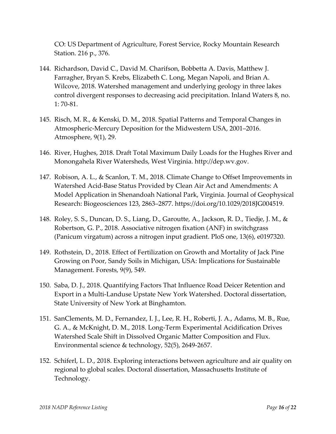CO: US Department of Agriculture, Forest Service, Rocky Mountain Research Station. 216 p., 376.

- 144. Richardson, David C., David M. Charifson, Bobbetta A. Davis, Matthew J. Farragher, Bryan S. Krebs, Elizabeth C. Long, Megan Napoli, and Brian A. Wilcove, 2018. Watershed management and underlying geology in three lakes control divergent responses to decreasing acid precipitation. Inland Waters 8, no. 1: 70‐81.
- 145. Risch, M. R., & Kenski, D. M., 2018. Spatial Patterns and Temporal Changes in Atmospheric‐Mercury Deposition for the Midwestern USA, 2001–2016. Atmosphere, 9(1), 29.
- 146. River, Hughes, 2018. Draft Total Maximum Daily Loads for the Hughes River and Monongahela River Watersheds, West Virginia. http://dep.wv.gov.
- 147. Robison, A. L., & Scanlon, T. M., 2018. Climate Change to Offset Improvements in Watershed Acid‐Base Status Provided by Clean Air Act and Amendments: A Model Application in Shenandoah National Park, Virginia. Journal of Geophysical Research: Biogeosciences 123, 2863–2877. https://doi.org/10.1029/2018JG004519.
- 148. Roley, S. S., Duncan, D. S., Liang, D., Garoutte, A., Jackson, R. D., Tiedje, J. M., & Robertson, G. P., 2018. Associative nitrogen fixation (ANF) in switchgrass (Panicum virgatum) across a nitrogen input gradient. PloS one, 13(6), e0197320.
- 149. Rothstein, D., 2018. Effect of Fertilization on Growth and Mortality of Jack Pine Growing on Poor, Sandy Soils in Michigan, USA: Implications for Sustainable Management. Forests, 9(9), 549.
- 150. Saba, D. J., 2018. Quantifying Factors That Influence Road Deicer Retention and Export in a Multi‐Landuse Upstate New York Watershed. Doctoral dissertation, State University of New York at Binghamton.
- 151. SanClements, M. D., Fernandez, I. J., Lee, R. H., Roberti, J. A., Adams, M. B., Rue, G. A., & McKnight, D. M., 2018. Long‐Term Experimental Acidification Drives Watershed Scale Shift in Dissolved Organic Matter Composition and Flux. Environmental science & technology, 52(5), 2649‐2657.
- 152. Schiferl, L. D., 2018. Exploring interactions between agriculture and air quality on regional to global scales. Doctoral dissertation, Massachusetts Institute of Technology.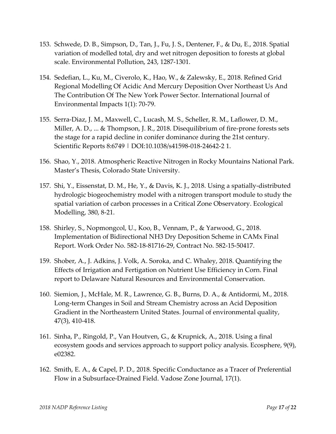- 153. Schwede, D. B., Simpson, D., Tan, J., Fu, J. S., Dentener, F., & Du, E., 2018. Spatial variation of modelled total, dry and wet nitrogen deposition to forests at global scale. Environmental Pollution, 243, 1287‐1301.
- 154. Sedefian, L., Ku, M., Civerolo, K., Hao, W., & Zalewsky, E., 2018. Refined Grid Regional Modelling Of Acidic And Mercury Deposition Over Northeast Us And The Contribution Of The New York Power Sector. International Journal of Environmental Impacts 1(1): 70‐79.
- 155. Serra‐Diaz, J. M., Maxwell, C., Lucash, M. S., Scheller, R. M., Laflower, D. M., Miller, A. D., ... & Thompson, J. R., 2018. Disequilibrium of fire‐prone forests sets the stage for a rapid decline in conifer dominance during the 21st century. Scientific Reports 8:6749 | DOI:10.1038/s41598‐018‐24642‐2 1.
- 156. Shao, Y., 2018. Atmospheric Reactive Nitrogen in Rocky Mountains National Park. Master's Thesis, Colorado State University.
- 157. Shi, Y., Eissenstat, D. M., He, Y., & Davis, K. J., 2018. Using a spatially‐distributed hydrologic biogeochemistry model with a nitrogen transport module to study the spatial variation of carbon processes in a Critical Zone Observatory. Ecological Modelling, 380, 8‐21.
- 158. Shirley, S., Nopmongcol, U., Koo, B., Vennam, P., & Yarwood, G., 2018. Implementation of Bidirectional NH3 Dry Deposition Scheme in CAMx Final Report. Work Order No. 582‐18‐81716‐29, Contract No. 582‐15‐50417.
- 159. Shober, A., J. Adkins, J. Volk, A. Soroka, and C. Whaley, 2018. Quantifying the Effects of Irrigation and Fertigation on Nutrient Use Efficiency in Corn. Final report to Delaware Natural Resources and Environmental Conservation.
- 160. Siemion, J., McHale, M. R., Lawrence, G. B., Burns, D. A., & Antidormi, M., 2018. Long‐term Changes in Soil and Stream Chemistry across an Acid Deposition Gradient in the Northeastern United States. Journal of environmental quality, 47(3), 410‐418.
- 161. Sinha, P., Ringold, P., Van Houtven, G., & Krupnick, A., 2018. Using a final ecosystem goods and services approach to support policy analysis. Ecosphere, 9(9), e02382.
- 162. Smith, E. A., & Capel, P. D., 2018. Specific Conductance as a Tracer of Preferential Flow in a Subsurface‐Drained Field. Vadose Zone Journal, 17(1).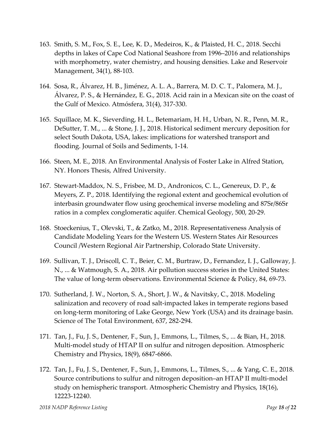- 163. Smith, S. M., Fox, S. E., Lee, K. D., Medeiros, K., & Plaisted, H. C., 2018. Secchi depths in lakes of Cape Cod National Seashore from 1996–2016 and relationships with morphometry, water chemistry, and housing densities. Lake and Reservoir Management, 34(1), 88‐103.
- 164. Sosa, R., Álvarez, H. B., Jiménez, A. L. A., Barrera, M. D. C. T., Palomera, M. J., Álvarez, P. S., & Hernández, E. G., 2018. Acid rain in a Mexican site on the coast of the Gulf of Mexico. Atmósfera, 31(4), 317‐330.
- 165. Squillace, M. K., Sieverding, H. L., Betemariam, H. H., Urban, N. R., Penn, M. R., DeSutter, T. M., ... & Stone, J. J., 2018. Historical sediment mercury deposition for select South Dakota, USA, lakes: implications for watershed transport and flooding. Journal of Soils and Sediments, 1‐14.
- 166. Steen, M. E., 2018. An Environmental Analysis of Foster Lake in Alfred Station, NY. Honors Thesis, Alfred University.
- 167. Stewart‐Maddox, N. S., Frisbee, M. D., Andronicos, C. L., Genereux, D. P., & Meyers, Z. P., 2018. Identifying the regional extent and geochemical evolution of interbasin groundwater flow using geochemical inverse modeling and 87Sr/86Sr ratios in a complex conglomeratic aquifer. Chemical Geology, 500, 20‐29.
- 168. Stoeckenius, T., Olevski, T., & Zatko, M., 2018. Representativeness Analysis of Candidate Modeling Years for the Western US. Western States Air Resources Council /Western Regional Air Partnership, Colorado State University.
- 169. Sullivan, T. J., Driscoll, C. T., Beier, C. M., Burtraw, D., Fernandez, I. J., Galloway, J. N., ... & Watmough, S. A., 2018. Air pollution success stories in the United States: The value of long-term observations. Environmental Science & Policy, 84, 69-73.
- 170. Sutherland, J. W., Norton, S. A., Short, J. W., & Navitsky, C., 2018. Modeling salinization and recovery of road salt‐impacted lakes in temperate regions based on long‐term monitoring of Lake George, New York (USA) and its drainage basin. Science of The Total Environment, 637, 282‐294.
- 171. Tan, J., Fu, J. S., Dentener, F., Sun, J., Emmons, L., Tilmes, S., ... & Bian, H., 2018. Multi-model study of HTAP II on sulfur and nitrogen deposition. Atmospheric Chemistry and Physics, 18(9), 6847‐6866.
- 172. Tan, J., Fu, J. S., Dentener, F., Sun, J., Emmons, L., Tilmes, S., ... & Yang, C. E., 2018. Source contributions to sulfur and nitrogen deposition–an HTAP II multi‐model study on hemispheric transport. Atmospheric Chemistry and Physics, 18(16), 12223‐12240.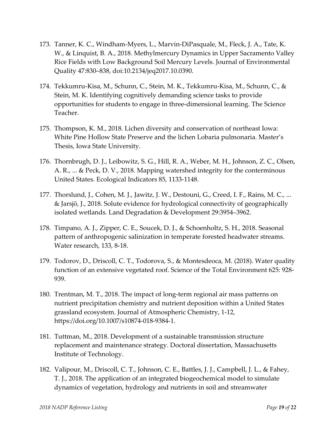- 173. Tanner, K. C., Windham‐Myers, L., Marvin‐DiPasquale, M., Fleck, J. A., Tate, K. W., & Linquist, B. A., 2018. Methylmercury Dynamics in Upper Sacramento Valley Rice Fields with Low Background Soil Mercury Levels. Journal of Environmental Quality 47:830–838, doi:10.2134/jeq2017.10.0390.
- 174. Tekkumru‐Kisa, M., Schunn, C., Stein, M. K., Tekkumru‐Kisa, M., Schunn, C., & Stein, M. K. Identifying cognitively demanding science tasks to provide opportunities for students to engage in three‐dimensional learning. The Science Teacher.
- 175. Thompson, K. M., 2018. Lichen diversity and conservation of northeast Iowa: White Pine Hollow State Preserve and the lichen Lobaria pulmonaria. Master's Thesis, Iowa State University.
- 176. Thornbrugh, D. J., Leibowitz, S. G., Hill, R. A., Weber, M. H., Johnson, Z. C., Olsen, A. R., ... & Peck, D. V., 2018. Mapping watershed integrity for the conterminous United States. Ecological Indicators 85, 1133‐1148.
- 177. Thorslund, J., Cohen, M. J., Jawitz, J. W., Destouni, G., Creed, I. F., Rains, M. C., ... & Jarsjö, J., 2018. Solute evidence for hydrological connectivity of geographically isolated wetlands. Land Degradation & Development 29:3954–3962.
- 178. Timpano, A. J., Zipper, C. E., Soucek, D. J., & Schoenholtz, S. H., 2018. Seasonal pattern of anthropogenic salinization in temperate forested headwater streams. Water research, 133, 8‐18.
- 179. Todorov, D., Driscoll, C. T., Todorova, S., & Montesdeoca, M. (2018). Water quality function of an extensive vegetated roof. Science of the Total Environment 625: 928‐ 939.
- 180. Trentman, M. T., 2018. The impact of long‐term regional air mass patterns on nutrient precipitation chemistry and nutrient deposition within a United States grassland ecosystem. Journal of Atmospheric Chemistry, 1‐12, https://doi.org/10.1007/s10874‐018‐9384‐1.
- 181. Tuttman, M., 2018. Development of a sustainable transmission structure replacement and maintenance strategy. Doctoral dissertation, Massachusetts Institute of Technology.
- 182. Valipour, M., Driscoll, C. T., Johnson, C. E., Battles, J. J., Campbell, J. L., & Fahey, T. J., 2018. The application of an integrated biogeochemical model to simulate dynamics of vegetation, hydrology and nutrients in soil and streamwater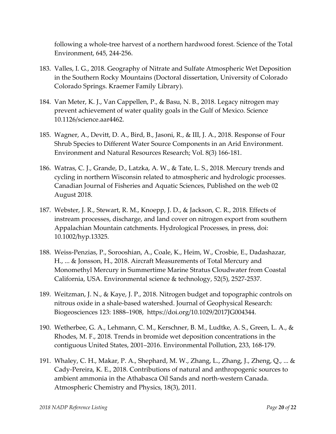following a whole‐tree harvest of a northern hardwood forest. Science of the Total Environment, 645, 244‐256.

- 183. Valles, I. G., 2018. Geography of Nitrate and Sulfate Atmospheric Wet Deposition in the Southern Rocky Mountains (Doctoral dissertation, University of Colorado Colorado Springs. Kraemer Family Library).
- 184. Van Meter, K. J., Van Cappellen, P., & Basu, N. B., 2018. Legacy nitrogen may prevent achievement of water quality goals in the Gulf of Mexico. Science 10.1126/science.aar4462.
- 185. Wagner, A., Devitt, D. A., Bird, B., Jasoni, R., & III, J. A., 2018. Response of Four Shrub Species to Different Water Source Components in an Arid Environment. Environment and Natural Resources Research; Vol. 8(3) 166‐181.
- 186. Watras, C. J., Grande, D., Latzka, A. W., & Tate, L. S., 2018. Mercury trends and cycling in northern Wisconsin related to atmospheric and hydrologic processes. Canadian Journal of Fisheries and Aquatic Sciences, Published on the web 02 August 2018.
- 187. Webster, J. R., Stewart, R. M., Knoepp, J. D., & Jackson, C. R., 2018. Effects of instream processes, discharge, and land cover on nitrogen export from southern Appalachian Mountain catchments. Hydrological Processes, in press, doi: 10.1002/hyp.13325.
- 188. Weiss‐Penzias, P., Sorooshian, A., Coale, K., Heim, W., Crosbie, E., Dadashazar, H., ... & Jonsson, H., 2018. Aircraft Measurements of Total Mercury and Monomethyl Mercury in Summertime Marine Stratus Cloudwater from Coastal California, USA. Environmental science & technology, 52(5), 2527‐2537.
- 189. Weitzman, J. N., & Kaye, J. P., 2018. Nitrogen budget and topographic controls on nitrous oxide in a shale‐based watershed. Journal of Geophysical Research: Biogeosciences 123: 1888–1908, https://doi.org/10.1029/2017JG004344.
- 190. Wetherbee, G. A., Lehmann, C. M., Kerschner, B. M., Ludtke, A. S., Green, L. A., & Rhodes, M. F., 2018. Trends in bromide wet deposition concentrations in the contiguous United States, 2001–2016. Environmental Pollution, 233, 168‐179.
- 191. Whaley, C. H., Makar, P. A., Shephard, M. W., Zhang, L., Zhang, J., Zheng, Q., ... & Cady‐Pereira, K. E., 2018. Contributions of natural and anthropogenic sources to ambient ammonia in the Athabasca Oil Sands and north‐western Canada. Atmospheric Chemistry and Physics, 18(3), 2011.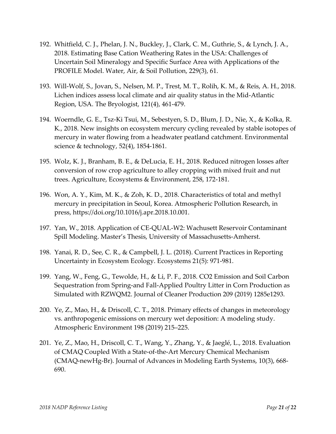- 192. Whitfield, C. J., Phelan, J. N., Buckley, J., Clark, C. M., Guthrie, S., & Lynch, J. A., 2018. Estimating Base Cation Weathering Rates in the USA: Challenges of Uncertain Soil Mineralogy and Specific Surface Area with Applications of the PROFILE Model. Water, Air, & Soil Pollution, 229(3), 61.
- 193. Will‐Wolf, S., Jovan, S., Nelsen, M. P., Trest, M. T., Rolih, K. M., & Reis, A. H., 2018. Lichen indices assess local climate and air quality status in the Mid‐Atlantic Region, USA. The Bryologist, 121(4), 461‐479.
- 194. Woerndle, G. E., Tsz‐Ki Tsui, M., Sebestyen, S. D., Blum, J. D., Nie, X., & Kolka, R. K., 2018. New insights on ecosystem mercury cycling revealed by stable isotopes of mercury in water flowing from a headwater peatland catchment. Environmental science & technology, 52(4), 1854‐1861.
- 195. Wolz, K. J., Branham, B. E., & DeLucia, E. H., 2018. Reduced nitrogen losses after conversion of row crop agriculture to alley cropping with mixed fruit and nut trees. Agriculture, Ecosystems & Environment, 258, 172‐181.
- 196. Won, A. Y., Kim, M. K., & Zoh, K. D., 2018. Characteristics of total and methyl mercury in precipitation in Seoul, Korea. Atmospheric Pollution Research, in press, https://doi.org/10.1016/j.apr.2018.10.001.
- 197. Yan, W., 2018. Application of CE‐QUAL‐W2: Wachusett Reservoir Contaminant Spill Modeling. Master's Thesis, University of Massachusetts‐Amherst.
- 198. Yanai, R. D., See, C. R., & Campbell, J. L. (2018). Current Practices in Reporting Uncertainty in Ecosystem Ecology. Ecosystems 21(5): 971‐981.
- 199. Yang, W., Feng, G., Tewolde, H., & Li, P. F., 2018. CO2 Emission and Soil Carbon Sequestration from Spring‐and Fall‐Applied Poultry Litter in Corn Production as Simulated with RZWQM2. Journal of Cleaner Production 209 (2019) 1285e1293.
- 200. Ye, Z., Mao, H., & Driscoll, C. T., 2018. Primary effects of changes in meteorology vs. anthropogenic emissions on mercury wet deposition: A modeling study. Atmospheric Environment 198 (2019) 215–225.
- 201. Ye, Z., Mao, H., Driscoll, C. T., Wang, Y., Zhang, Y., & Jaeglé, L., 2018. Evaluation of CMAQ Coupled With a State‐of‐the‐Art Mercury Chemical Mechanism (CMAQ‐newHg‐Br). Journal of Advances in Modeling Earth Systems, 10(3), 668‐ 690.